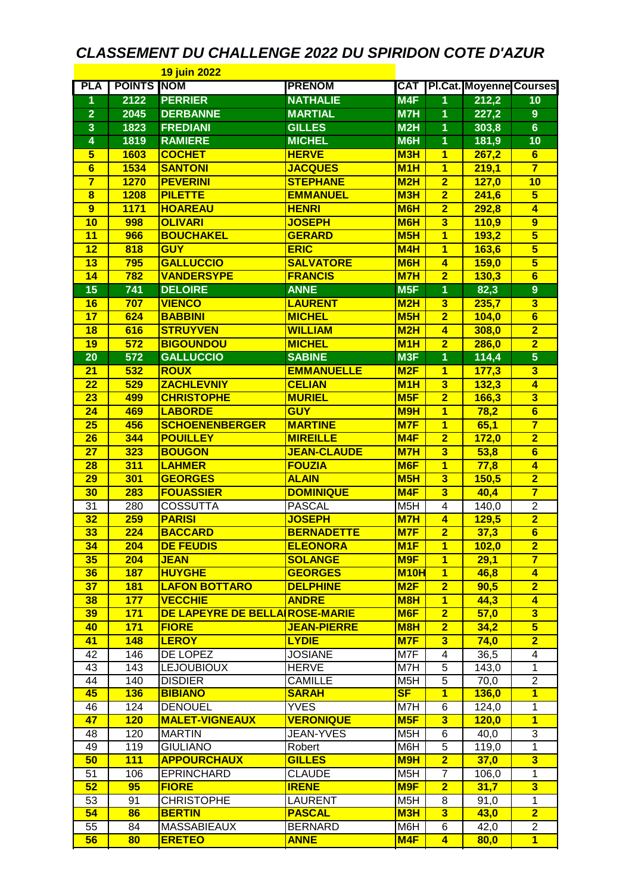## *CLASSEMENT DU CHALLENGE 2022 DU SPIRIDON COTE D'AZUR*

| <b>19 juin 2022</b>     |                    |                                |                    |                  |                              |                                |                         |
|-------------------------|--------------------|--------------------------------|--------------------|------------------|------------------------------|--------------------------------|-------------------------|
| <b>PLA</b>              | <b>POINTS INOM</b> |                                | <b>PRENOM</b>      | CAT              |                              | <b>PI.Cat. Moyenne Courses</b> |                         |
| 1                       | 2122               | <b>PERRIER</b>                 | <b>NATHALIE</b>    | M4F              | 1                            | 212,2                          | 10                      |
| $\overline{\mathbf{2}}$ | 2045               | <b>DERBANNE</b>                | <b>MARTIAL</b>     | M7H              | 1                            | 227,2                          | $\overline{9}$          |
| 3                       | 1823               | <b>FREDIANI</b>                | <b>GILLES</b>      | M2H              | 1                            | 303,8                          | $6\phantom{a}$          |
| 4                       | 1819               | <b>RAMIERE</b>                 | <b>MICHEL</b>      | <b>M6H</b>       | 1                            | 181,9                          | 10                      |
| $\overline{\mathbf{5}}$ | 1603               | <b>COCHET</b>                  | <b>HERVE</b>       | M <sub>3</sub> H | $\overline{1}$               | 267,2                          | $6\phantom{1}$          |
| 6                       | 1534               | <b>SANTONI</b>                 | <b>JACQUES</b>     | M <sub>1</sub> H | $\overline{\mathbf{1}}$      | 219,1                          | $\overline{\mathbf{7}}$ |
| $\overline{\mathbf{7}}$ | <b>1270</b>        | <b>PEVERINI</b>                | <b>STEPHANE</b>    | M2H              | $\overline{\mathbf{2}}$      | 127,0                          | 10                      |
| $\overline{\mathbf{8}}$ | 1208               | <b>PILETTE</b>                 | <b>EMMANUEL</b>    | M3H              | $\overline{\mathbf{2}}$      | 241,6                          | $\overline{\mathbf{5}}$ |
| 9                       | <b>1171</b>        | <b>HOAREAU</b>                 | <b>HENRI</b>       | <b>M6H</b>       | $\overline{\mathbf{2}}$      | 292,8                          | 4                       |
| 10                      | 998                | <b>OLIVARI</b>                 | <b>JOSEPH</b>      | M <sub>6</sub> H | $\overline{\mathbf{3}}$      | 110,9                          | 9                       |
| $\overline{11}$         | 966                | <b>BOUCHAKEL</b>               | <b>GERARD</b>      | M <sub>5</sub> H | $\overline{\mathbf{1}}$      | 193,2                          | $\overline{\mathbf{5}}$ |
| $\overline{12}$         | 818                | <b>GUY</b>                     | <b>ERIC</b>        | <b>M4H</b>       | $\overline{\mathbf{1}}$      | 163,6                          | $\overline{\mathbf{5}}$ |
| $\overline{13}$         | 795                | <b>GALLUCCIO</b>               | <b>SALVATORE</b>   | M <sub>6</sub> H | $\overline{\mathbf{4}}$      | <b>159,0</b>                   | $\overline{\mathbf{5}}$ |
| 14                      | 782                | <b>VANDERSYPE</b>              | <b>FRANCIS</b>     | M7H              | $\overline{2}$               | 130,3                          | 6                       |
| 15                      | 741                | <b>DELOIRE</b>                 | <b>ANNE</b>        | M <sub>5F</sub>  | 1                            | 82,3                           | $\overline{9}$          |
| 16                      | 707                | <b>VIENCO</b>                  | <b>LAURENT</b>     | M2H              | $\overline{\mathbf{3}}$      | 235,7                          | $\overline{\mathbf{3}}$ |
| 17                      | 624                | <b>BABBINI</b>                 | <b>MICHEL</b>      | M5H              | $\overline{\mathbf{2}}$      | 104,0                          | $\overline{6}$          |
| 18                      | 616                | <b>STRUYVEN</b>                | <b>WILLIAM</b>     | M2H              | $\overline{\mathbf{4}}$      | 308,0                          | $\overline{\mathbf{2}}$ |
| 19                      | 572                | <b>BIGOUNDOU</b>               | <b>MICHEL</b>      | M <sub>1</sub> H | $\overline{\mathbf{2}}$      | 286,0                          | $\overline{\mathbf{2}}$ |
| 20                      | 572                | <b>GALLUCCIO</b>               | <b>SABINE</b>      | M <sub>3F</sub>  | $\overline{1}$               | 114,4                          | $\overline{\mathbf{5}}$ |
|                         | 532                | <b>ROUX</b>                    | <b>EMMANUELLE</b>  | M2F              |                              |                                | $\overline{\mathbf{3}}$ |
| 21<br>$\overline{22}$   | 529                | <b>ZACHLEVNIY</b>              | <b>CELIAN</b>      | M1H              | 1<br>$\overline{\mathbf{3}}$ | 177,3                          | $\overline{4}$          |
| $\overline{23}$         | 499                | <b>CHRISTOPHE</b>              | <b>MURIEL</b>      | M5F              | $\overline{\mathbf{2}}$      | 132,3                          | $\overline{\mathbf{3}}$ |
|                         |                    |                                |                    |                  |                              | 166,3                          |                         |
| $\overline{24}$         | 469                | <b>LABORDE</b>                 | <b>GUY</b>         | <b>M9H</b>       | $\overline{\mathbf{1}}$      | 78,2                           | $\overline{6}$          |
| $\overline{25}$         | 456                | <b>SCHOENENBERGER</b>          | <b>MARTINE</b>     | M7F              | $\overline{1}$               | 65,1                           | $\overline{\mathbf{7}}$ |
| 26                      | 344                | <b>POUILLEY</b>                | <b>MIREILLE</b>    | M <sub>4F</sub>  | $\overline{\mathbf{2}}$      | 172,0                          | $\overline{\mathbf{2}}$ |
| 27                      | 323                | <b>BOUGON</b>                  | <b>JEAN-CLAUDE</b> | M7H              | $\overline{\mathbf{3}}$      | 53,8                           | $\overline{6}$          |
| 28                      | 311                | <b>LAHMER</b>                  | <b>FOUZIA</b>      | M <sub>6F</sub>  | $\overline{1}$               | 77,8                           | $\overline{4}$          |
| 29                      | 301                | <b>GEORGES</b>                 | <b>ALAIN</b>       | M5H              | $\overline{\mathbf{3}}$      | 150,5                          | $\overline{\mathbf{2}}$ |
| 30                      | 283                | <b>FOUASSIER</b>               | <b>DOMINIQUE</b>   | M <sub>4F</sub>  | $\overline{\mathbf{3}}$      | 40,4                           | $\overline{\mathbf{7}}$ |
| 31                      | 280                | <b>COSSUTTA</b>                | <b>PASCAL</b>      | M <sub>5</sub> H | $\overline{4}$               | 140,0                          | $\overline{2}$          |
| 32                      | 259                | <b>PARISI</b>                  | <b>JOSEPH</b>      | M7H              | $\overline{\mathbf{4}}$      | 129,5                          | $\overline{\mathbf{2}}$ |
| 33                      | 224                | <b>BACCARD</b>                 | <b>BERNADETTE</b>  | M7F              | $\overline{2}$               | 37,3                           | $6\phantom{1}$          |
| 34                      | 204                | <b>DE FEUDIS</b>               | <b>ELEONORA</b>    | M <sub>1</sub> F | $\mathbf 1$                  | 102,0                          | $\overline{2}$          |
| 35                      | 204                | <b>JEAN</b>                    | <b>SOLANGE</b>     | M <sub>9F</sub>  | $\overline{1}$               | 29,1                           | $\overline{7}$          |
| 36                      | <b>187</b>         | <b>HUYGHE</b>                  | <b>GEORGES</b>     | <b>M10H</b>      | $\overline{1}$               | 46,8                           | $\overline{\mathbf{4}}$ |
| 37                      | <b>181</b>         | <b>LAFON BOTTARO</b>           | <b>DELPHINE</b>    | M2F              | $\overline{2}$               | 90,5                           | $\overline{2}$          |
| 38                      | 177                | <b>VECCHIE</b>                 | <b>ANDRE</b>       | M <sub>8H</sub>  | $\mathbf{1}$                 | 44,3                           | $\overline{4}$          |
| 39                      | 171                | DE LAPEYRE DE BELLA ROSE-MARIE |                    | M <sub>6F</sub>  | $\overline{\mathbf{2}}$      | 57,0                           | $\overline{\mathbf{3}}$ |
| 40                      | 171                | <b>FIORE</b>                   | <b>JEAN-PIERRE</b> | M <sub>8</sub> H | $\overline{2}$               | 34,2                           | $\overline{\mathbf{5}}$ |
| 41                      | <b>148</b>         | <b>LEROY</b>                   | <b>LYDIE</b>       | M7F              | $\overline{\mathbf{3}}$      | 74,0                           | $\overline{2}$          |
| 42                      | 146                | DE LOPEZ                       | <b>JOSIANE</b>     | M7F              | 4                            | 36,5                           | 4                       |
| 43                      | 143                | <b>LEJOUBIOUX</b>              | <b>HERVE</b>       | M7H              | 5                            | 143,0                          | $\mathbf{1}$            |
| 44                      | 140                | <b>DISDIER</b>                 | <b>CAMILLE</b>     | M <sub>5</sub> H | $\overline{5}$               | 70,0                           | $\overline{2}$          |
| 45                      | <b>136</b>         | <b>BIBIANO</b>                 | <b>SARAH</b>       | $S_{\text{F}}$   | $\overline{\mathbf{1}}$      | 136,0                          | $\overline{1}$          |
| 46                      | 124                | <b>DENOUEL</b>                 | <b>YVES</b>        | M7H              | 6                            | 124,0                          | $\overline{1}$          |
| 47                      | 120                | <b>MALET-VIGNEAUX</b>          | <b>VERONIQUE</b>   | M <sub>5F</sub>  | $\overline{\mathbf{3}}$      | 120,0                          | $\overline{1}$          |
| 48                      | 120                | <b>MARTIN</b>                  | <b>JEAN-YVES</b>   | M <sub>5</sub> H | 6                            | 40,0                           | $\overline{3}$          |
| 49                      | 119                | <b>GIULIANO</b>                | Robert             | M6H              | 5                            | 119,0                          | 1                       |
| 50                      | 111                | <b>APPOURCHAUX</b>             | <b>GILLES</b>      | M9H              | $\overline{2}$               | 37,0                           | 3                       |
| 51                      | 106                | <b>EPRINCHARD</b>              | <b>CLAUDE</b>      | M <sub>5</sub> H | $\overline{7}$               | 106,0                          | 1                       |
| 52                      | 95                 | <b>FIORE</b>                   | <b>IRENE</b>       | M <sub>9F</sub>  | $\overline{2}$               | 31,7                           | $\overline{\mathbf{3}}$ |
| 53                      | 91                 | <b>CHRISTOPHE</b>              | <b>LAURENT</b>     | M <sub>5</sub> H | 8                            | 91,0                           | 1                       |
| 54                      | 86                 | <b>BERTIN</b>                  | <b>PASCAL</b>      | M <sub>3</sub> H | 3                            | 43,0                           | $\overline{2}$          |
| 55                      | 84                 | <b>MASSABIEAUX</b>             | <b>BERNARD</b>     | M6H              | $\overline{6}$               | 42,0                           | $\overline{2}$          |
|                         |                    | <b>ERETEO</b>                  |                    |                  |                              |                                |                         |